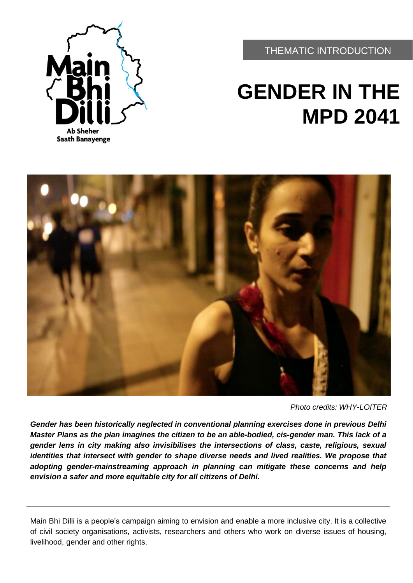**Ab Sheher Saath Banayenge** 

THEMATIC INTRODUCTION

# **GENDER IN THE MPD 2041**



*Photo credits: WHY-LOITER*

*Gender has been historically neglected in conventional planning exercises done in previous Delhi Master Plans as the plan imagines the citizen to be an able-bodied, cis-gender man. This lack of a gender lens in city making also invisibilises the intersections of class, caste, religious, sexual identities that intersect with gender to shape diverse needs and lived realities. We propose that adopting gender-mainstreaming approach in planning can mitigate these concerns and help envision a safer and more equitable city for all citizens of Delhi.*

Main Bhi Dilli is a people's campaign aiming to envision and enable a more inclusive city. It is a collective of civil society organisations, activists, researchers and others who work on diverse issues of housing, livelihood, gender and other rights.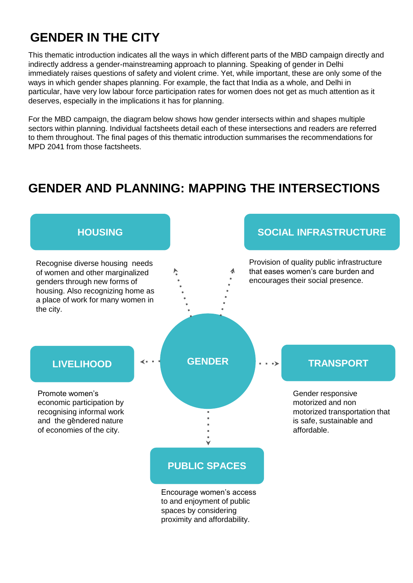## **GENDER IN THE CITY**

This thematic introduction indicates all the ways in which different parts of the MBD campaign directly and indirectly address a gender-mainstreaming approach to planning. Speaking of gender in Delhi immediately raises questions of safety and violent crime. Yet, while important, these are only some of the ways in which gender shapes planning. For example, the fact that India as a whole, and Delhi in particular, have very low labour force participation rates for women does not get as much attention as it deserves, especially in the implications it has for planning.

For the MBD campaign, the diagram below shows how gender intersects within and shapes multiple sectors within planning. Individual factsheets detail each of these intersections and readers are referred to them throughout. The final pages of this thematic introduction summarises the recommendations for MPD 2041 from those factsheets.

### **GENDER AND PLANNING: MAPPING THE INTERSECTIONS**